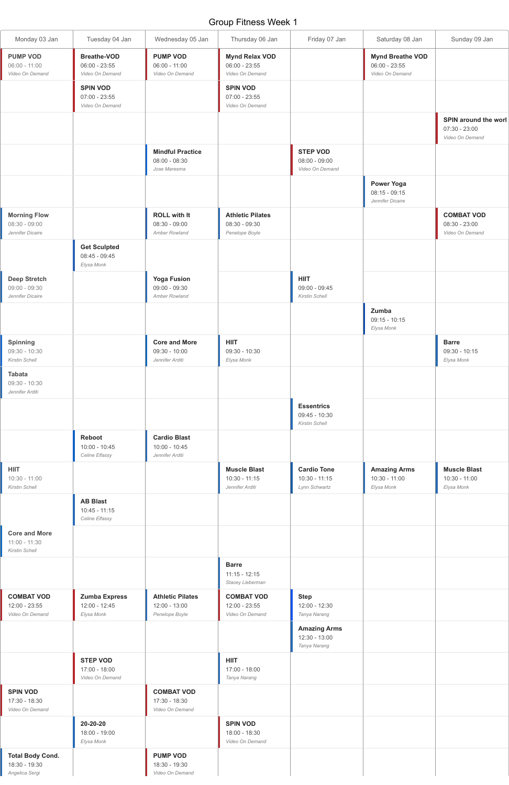## Group Fitness Week 1

| Monday 03 Jan                                                    | Tuesday 04 Jan                                           | Wednesday 05 Jan                                           | Thursday 06 Jan                                              | Friday 07 Jan                                          | Saturday 08 Jan                                               | Sunday 09 Jan                                                     |
|------------------------------------------------------------------|----------------------------------------------------------|------------------------------------------------------------|--------------------------------------------------------------|--------------------------------------------------------|---------------------------------------------------------------|-------------------------------------------------------------------|
| <b>PUMP VOD</b><br>$06:00 - 11:00$<br>Video On Demand            | <b>Breathe-VOD</b><br>$06:00 - 23:55$<br>Video On Demand | <b>PUMP VOD</b><br>$06:00 - 11:00$<br>Video On Demand      | <b>Mynd Relax VOD</b><br>$06:00 - 23:55$<br>Video On Demand  |                                                        | <b>Mynd Breathe VOD</b><br>$06:00 - 23:55$<br>Video On Demand |                                                                   |
|                                                                  | <b>SPIN VOD</b><br>$07:00 - 23:55$<br>Video On Demand    |                                                            | <b>SPIN VOD</b><br>$07:00 - 23:55$<br>Video On Demand        |                                                        |                                                               |                                                                   |
|                                                                  |                                                          |                                                            |                                                              |                                                        |                                                               | <b>SPIN around the worl</b><br>$07:30 - 23:00$<br>Video On Demand |
|                                                                  |                                                          | <b>Mindful Practice</b><br>$08:00 - 08:30$<br>Jose Maresma |                                                              | <b>STEP VOD</b><br>$08:00 - 09:00$<br>Video On Demand  |                                                               |                                                                   |
|                                                                  |                                                          |                                                            |                                                              |                                                        | <b>Power Yoga</b><br>$08:15 - 09:15$<br>Jennifer Dicaire      |                                                                   |
| <b>Morning Flow</b><br>$08:30 - 09:00$<br>Jennifer Dicaire       |                                                          | <b>ROLL with It</b><br>$08:30 - 09:00$<br>Amber Rowland    | <b>Athletic Pilates</b><br>$08:30 - 09:30$<br>Penelope Boyle |                                                        |                                                               | <b>COMBAT VOD</b><br>$08:30 - 23:00$<br>Video On Demand           |
|                                                                  | <b>Get Sculpted</b><br>$08:45 - 09:45$<br>Elysa Monk     |                                                            |                                                              |                                                        |                                                               |                                                                   |
| <b>Deep Stretch</b><br>$09:00 - 09:30$<br>Jennifer Dicaire       |                                                          | <b>Yoga Fusion</b><br>$09:00 - 09:30$<br>Amber Rowland     |                                                              | <b>HIIT</b><br>$09:00 - 09:45$<br>Kirstin Schell       |                                                               |                                                                   |
|                                                                  |                                                          |                                                            |                                                              |                                                        | Zumba<br>$09:15 - 10:15$<br>Elysa Monk                        |                                                                   |
| <b>Spinning</b><br>09:30 - 10:30<br><b>Kirstin Schell</b>        |                                                          | <b>Core and More</b><br>$09:30 - 10:00$<br>Jennifer Arditi | <b>HIIT</b><br>$09:30 - 10:30$<br>Elysa Monk                 |                                                        |                                                               | <b>Barre</b><br>09:30 - 10:15<br>Elysa Monk                       |
| <b>Tabata</b><br>09:30 - 10:30<br>Jennifer Arditi                |                                                          |                                                            |                                                              |                                                        |                                                               |                                                                   |
|                                                                  |                                                          |                                                            |                                                              | <b>Essentrics</b><br>$09:45 - 10:30$<br>Kirstin Schell |                                                               |                                                                   |
|                                                                  | Reboot<br>$10:00 - 10:45$<br>Celine Elfassy              | <b>Cardio Blast</b><br>10:00 - 10:45<br>Jennifer Arditi    |                                                              |                                                        |                                                               |                                                                   |
| <b>HIIT</b><br>$10:30 - 11:00$<br>Kirstin Schell                 |                                                          |                                                            | <b>Muscle Blast</b><br>$10:30 - 11:15$<br>Jennifer Arditi    | <b>Cardio Tone</b><br>$10:30 - 11:15$<br>Lynn Schwartz | <b>Amazing Arms</b><br>10:30 - 11:00<br>Elysa Monk            | <b>Muscle Blast</b><br>10:30 - 11:00<br>Elysa Monk                |
|                                                                  | <b>AB Blast</b><br>$10:45 - 11:15$<br>Celine Elfassy     |                                                            |                                                              |                                                        |                                                               |                                                                   |
| <b>Core and More</b><br>$11:00 - 11:30$<br><b>Kirstin Schell</b> |                                                          |                                                            |                                                              |                                                        |                                                               |                                                                   |
|                                                                  |                                                          |                                                            | <b>Barre</b><br>$11:15 - 12:15$                              |                                                        |                                                               |                                                                   |

|                                                            |                                                       |                                                              | Stacey Lieberman                                      |                                                      |  |
|------------------------------------------------------------|-------------------------------------------------------|--------------------------------------------------------------|-------------------------------------------------------|------------------------------------------------------|--|
| <b>COMBAT VOD</b><br>12:00 - 23:55<br>Video On Demand      | <b>Zumba Express</b><br>$12:00 - 12:45$<br>Elysa Monk | <b>Athletic Pilates</b><br>$12:00 - 13:00$<br>Penelope Boyle | <b>COMBAT VOD</b><br>12:00 - 23:55<br>Video On Demand | <b>Step</b><br>$12:00 - 12:30$<br>Tanya Narang       |  |
|                                                            |                                                       |                                                              |                                                       | <b>Amazing Arms</b><br>12:30 - 13:00<br>Tanya Narang |  |
|                                                            | <b>STEP VOD</b><br>17:00 - 18:00<br>Video On Demand   |                                                              | <b>HIIT</b><br>$17:00 - 18:00$<br>Tanya Narang        |                                                      |  |
| <b>SPIN VOD</b><br>17:30 - 18:30<br>Video On Demand        |                                                       | <b>COMBAT VOD</b><br>17:30 - 18:30<br>Video On Demand        |                                                       |                                                      |  |
|                                                            | 20-20-20<br>18:00 - 19:00<br>Elysa Monk               |                                                              | <b>SPIN VOD</b><br>18:00 - 18:30<br>Video On Demand   |                                                      |  |
| <b>Total Body Cond.</b><br>18:30 - 19:30<br>Angelica Sergi |                                                       | <b>PUMP VOD</b><br>18:30 - 19:30<br>Video On Demand          |                                                       |                                                      |  |